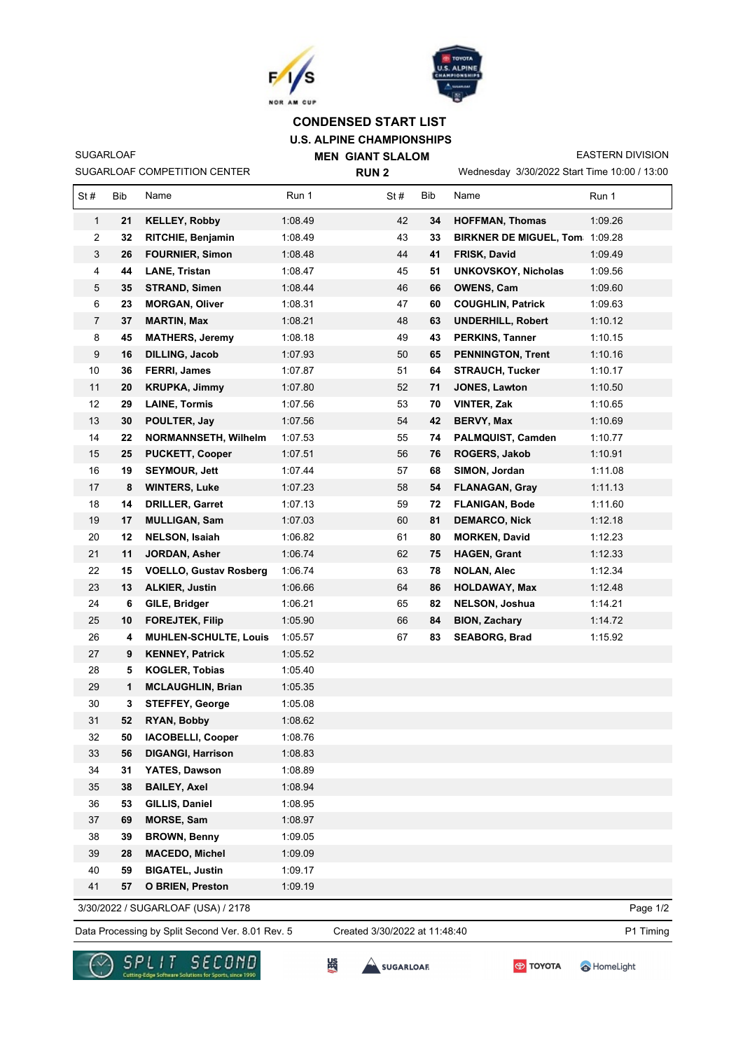



## **U.S. ALPINE CHAMPIONSHIPS CONDENSED START LIST**

SUGARLOAF COMPETITION CENTER SUGARLOAF

**MEN GIANT SLALOM RUN 2**

Wednesday 3/30/2022 Start Time 10:00 / 13:00 EASTERN DIVISION

| 1:08.49<br>21<br>42<br>1:09.26<br>1<br><b>KELLEY, Robby</b><br>34<br><b>HOFFMAN, Thomas</b><br>43<br>1:08.49<br><b>BIRKNER DE MIGUEL, Tom 1:09.28</b><br>2<br>32<br>RITCHIE, Benjamin<br>33<br>3<br>26<br>1:08.48<br>44<br>FRISK, David<br>1:09.49<br><b>FOURNIER, Simon</b><br>41<br>4<br>44<br>1:08.47<br>45<br>51<br>1:09.56<br><b>LANE, Tristan</b><br><b>UNKOVSKOY, Nicholas</b><br>5<br>1:08.44<br>46<br>1:09.60<br>35<br><b>STRAND, Simen</b><br>66<br><b>OWENS, Cam</b><br>1:08.31<br>47<br>6<br>23<br><b>MORGAN, Oliver</b><br>60<br>1:09.63<br><b>COUGHLIN, Patrick</b><br>$\overline{7}$<br>1:08.21<br>48<br>1:10.12<br>37<br><b>MARTIN, Max</b><br>63<br><b>UNDERHILL, Robert</b><br>8<br>45<br><b>MATHERS, Jeremy</b><br>1:08.18<br>49<br>43<br><b>PERKINS, Tanner</b><br>1:10.15<br>9<br>16<br>1:07.93<br>50<br>1:10.16<br><b>DILLING, Jacob</b><br>65<br><b>PENNINGTON, Trent</b><br>10<br>FERRI, James<br>1:07.87<br>51<br>64<br>1:10.17<br>36<br><b>STRAUCH, Tucker</b><br>11<br>1:07.80<br>52<br>71<br><b>JONES, Lawton</b><br>20<br><b>KRUPKA, Jimmy</b><br>1:10.50<br>53<br>12<br>1:07.56<br><b>VINTER, Zak</b><br>1:10.65<br>29<br><b>LAINE, Tormis</b><br>70<br>13<br>30<br>1:07.56<br>54<br>42<br>1:10.69<br>POULTER, Jay<br>BERVY, Max<br>14<br>1:07.53<br>55<br>PALMQUIST, Camden<br>1:10.77<br>22<br><b>NORMANNSETH, Wilhelm</b><br>74<br>15<br>1:07.51<br>56<br>1:10.91<br>25<br><b>PUCKETT, Cooper</b><br>76<br><b>ROGERS, Jakob</b><br>1:11.08<br>16<br><b>SEYMOUR, Jett</b><br>1:07.44<br>57<br>68<br>SIMON, Jordan<br>19<br>17<br>1:07.23<br>58<br>1:11.13<br>8<br><b>WINTERS, Luke</b><br>54<br><b>FLANAGAN, Gray</b><br>18<br><b>DRILLER, Garret</b><br>1:07.13<br>59<br><b>FLANIGAN, Bode</b><br>1:11.60<br>14<br>72<br>19<br>1:07.03<br>1:12.18<br>17<br><b>MULLIGAN, Sam</b><br>60<br>81<br><b>DEMARCO, Nick</b><br>1:06.82<br>61<br><b>MORKEN, David</b><br>1:12.23<br>20<br>12<br><b>NELSON, Isaiah</b><br>80<br>21<br>11<br>1:06.74<br><b>HAGEN, Grant</b><br>1:12.33<br><b>JORDAN, Asher</b><br>62<br>75<br>22<br>63<br>1:06.74<br>1:12.34<br>15<br><b>VOELLO, Gustav Rosberg</b><br>78<br><b>NOLAN, Alec</b><br>23<br><b>ALKIER, Justin</b><br>1:06.66<br>64<br>1:12.48<br>13<br>86<br><b>HOLDAWAY, Max</b><br>24<br>1:06.21<br>65<br>82<br>1:14.21<br>6<br>GILE, Bridger<br><b>NELSON, Joshua</b><br>25<br>1:05.90<br>66<br><b>BION, Zachary</b><br>1:14.72<br>10<br><b>FOREJTEK, Filip</b><br>84<br>26<br>1:05.57<br>67<br>83<br>1:15.92<br>4<br><b>MUHLEN-SCHULTE, Louis</b><br><b>SEABORG, Brad</b><br>27<br><b>KENNEY, Patrick</b><br>1:05.52<br>9<br>1:05.40<br>28<br><b>KOGLER, Tobias</b><br>5<br>29<br>1<br><b>MCLAUGHLIN, Brian</b><br>1:05.35<br>30<br>1:05.08<br>3<br><b>STEFFEY, George</b><br>31<br>1:08.62<br>52<br>RYAN, Bobby<br>32<br>50<br><b>IACOBELLI, Cooper</b><br>1:08.76<br>33<br>56<br><b>DIGANGI, Harrison</b><br>1:08.83<br>1:08.89<br>34<br>31<br>YATES, Dawson<br>1:08.94<br>35<br>38<br><b>BAILEY, Axel</b><br>53<br>GILLIS, Daniel<br>1:08.95<br>36<br>37<br>69<br><b>MORSE, Sam</b><br>1:08.97<br>1:09.05<br>38<br>39<br><b>BROWN, Benny</b><br>39<br>28<br><b>MACEDO, Michel</b><br>1:09.09<br>40<br>59<br><b>BIGATEL, Justin</b><br>1:09.17<br>41<br>1:09.19<br>57<br><b>O BRIEN, Preston</b> | St# | Bib | Name | Run 1 | St# | Bib | Name | Run 1 |
|---------------------------------------------------------------------------------------------------------------------------------------------------------------------------------------------------------------------------------------------------------------------------------------------------------------------------------------------------------------------------------------------------------------------------------------------------------------------------------------------------------------------------------------------------------------------------------------------------------------------------------------------------------------------------------------------------------------------------------------------------------------------------------------------------------------------------------------------------------------------------------------------------------------------------------------------------------------------------------------------------------------------------------------------------------------------------------------------------------------------------------------------------------------------------------------------------------------------------------------------------------------------------------------------------------------------------------------------------------------------------------------------------------------------------------------------------------------------------------------------------------------------------------------------------------------------------------------------------------------------------------------------------------------------------------------------------------------------------------------------------------------------------------------------------------------------------------------------------------------------------------------------------------------------------------------------------------------------------------------------------------------------------------------------------------------------------------------------------------------------------------------------------------------------------------------------------------------------------------------------------------------------------------------------------------------------------------------------------------------------------------------------------------------------------------------------------------------------------------------------------------------------------------------------------------------------------------------------------------------------------------------------------------------------------------------------------------------------------------------------------------------------------------------------------------------------------------------------------------------------------------------------------------------------------------------------------------------------------------------------------------------------------------------------------------------------------------------------------------------------------------------------------------------------------------------------------------------------------------------------------------------------------|-----|-----|------|-------|-----|-----|------|-------|
|                                                                                                                                                                                                                                                                                                                                                                                                                                                                                                                                                                                                                                                                                                                                                                                                                                                                                                                                                                                                                                                                                                                                                                                                                                                                                                                                                                                                                                                                                                                                                                                                                                                                                                                                                                                                                                                                                                                                                                                                                                                                                                                                                                                                                                                                                                                                                                                                                                                                                                                                                                                                                                                                                                                                                                                                                                                                                                                                                                                                                                                                                                                                                                                                                                                                           |     |     |      |       |     |     |      |       |
|                                                                                                                                                                                                                                                                                                                                                                                                                                                                                                                                                                                                                                                                                                                                                                                                                                                                                                                                                                                                                                                                                                                                                                                                                                                                                                                                                                                                                                                                                                                                                                                                                                                                                                                                                                                                                                                                                                                                                                                                                                                                                                                                                                                                                                                                                                                                                                                                                                                                                                                                                                                                                                                                                                                                                                                                                                                                                                                                                                                                                                                                                                                                                                                                                                                                           |     |     |      |       |     |     |      |       |
|                                                                                                                                                                                                                                                                                                                                                                                                                                                                                                                                                                                                                                                                                                                                                                                                                                                                                                                                                                                                                                                                                                                                                                                                                                                                                                                                                                                                                                                                                                                                                                                                                                                                                                                                                                                                                                                                                                                                                                                                                                                                                                                                                                                                                                                                                                                                                                                                                                                                                                                                                                                                                                                                                                                                                                                                                                                                                                                                                                                                                                                                                                                                                                                                                                                                           |     |     |      |       |     |     |      |       |
|                                                                                                                                                                                                                                                                                                                                                                                                                                                                                                                                                                                                                                                                                                                                                                                                                                                                                                                                                                                                                                                                                                                                                                                                                                                                                                                                                                                                                                                                                                                                                                                                                                                                                                                                                                                                                                                                                                                                                                                                                                                                                                                                                                                                                                                                                                                                                                                                                                                                                                                                                                                                                                                                                                                                                                                                                                                                                                                                                                                                                                                                                                                                                                                                                                                                           |     |     |      |       |     |     |      |       |
|                                                                                                                                                                                                                                                                                                                                                                                                                                                                                                                                                                                                                                                                                                                                                                                                                                                                                                                                                                                                                                                                                                                                                                                                                                                                                                                                                                                                                                                                                                                                                                                                                                                                                                                                                                                                                                                                                                                                                                                                                                                                                                                                                                                                                                                                                                                                                                                                                                                                                                                                                                                                                                                                                                                                                                                                                                                                                                                                                                                                                                                                                                                                                                                                                                                                           |     |     |      |       |     |     |      |       |
|                                                                                                                                                                                                                                                                                                                                                                                                                                                                                                                                                                                                                                                                                                                                                                                                                                                                                                                                                                                                                                                                                                                                                                                                                                                                                                                                                                                                                                                                                                                                                                                                                                                                                                                                                                                                                                                                                                                                                                                                                                                                                                                                                                                                                                                                                                                                                                                                                                                                                                                                                                                                                                                                                                                                                                                                                                                                                                                                                                                                                                                                                                                                                                                                                                                                           |     |     |      |       |     |     |      |       |
|                                                                                                                                                                                                                                                                                                                                                                                                                                                                                                                                                                                                                                                                                                                                                                                                                                                                                                                                                                                                                                                                                                                                                                                                                                                                                                                                                                                                                                                                                                                                                                                                                                                                                                                                                                                                                                                                                                                                                                                                                                                                                                                                                                                                                                                                                                                                                                                                                                                                                                                                                                                                                                                                                                                                                                                                                                                                                                                                                                                                                                                                                                                                                                                                                                                                           |     |     |      |       |     |     |      |       |
|                                                                                                                                                                                                                                                                                                                                                                                                                                                                                                                                                                                                                                                                                                                                                                                                                                                                                                                                                                                                                                                                                                                                                                                                                                                                                                                                                                                                                                                                                                                                                                                                                                                                                                                                                                                                                                                                                                                                                                                                                                                                                                                                                                                                                                                                                                                                                                                                                                                                                                                                                                                                                                                                                                                                                                                                                                                                                                                                                                                                                                                                                                                                                                                                                                                                           |     |     |      |       |     |     |      |       |
|                                                                                                                                                                                                                                                                                                                                                                                                                                                                                                                                                                                                                                                                                                                                                                                                                                                                                                                                                                                                                                                                                                                                                                                                                                                                                                                                                                                                                                                                                                                                                                                                                                                                                                                                                                                                                                                                                                                                                                                                                                                                                                                                                                                                                                                                                                                                                                                                                                                                                                                                                                                                                                                                                                                                                                                                                                                                                                                                                                                                                                                                                                                                                                                                                                                                           |     |     |      |       |     |     |      |       |
|                                                                                                                                                                                                                                                                                                                                                                                                                                                                                                                                                                                                                                                                                                                                                                                                                                                                                                                                                                                                                                                                                                                                                                                                                                                                                                                                                                                                                                                                                                                                                                                                                                                                                                                                                                                                                                                                                                                                                                                                                                                                                                                                                                                                                                                                                                                                                                                                                                                                                                                                                                                                                                                                                                                                                                                                                                                                                                                                                                                                                                                                                                                                                                                                                                                                           |     |     |      |       |     |     |      |       |
|                                                                                                                                                                                                                                                                                                                                                                                                                                                                                                                                                                                                                                                                                                                                                                                                                                                                                                                                                                                                                                                                                                                                                                                                                                                                                                                                                                                                                                                                                                                                                                                                                                                                                                                                                                                                                                                                                                                                                                                                                                                                                                                                                                                                                                                                                                                                                                                                                                                                                                                                                                                                                                                                                                                                                                                                                                                                                                                                                                                                                                                                                                                                                                                                                                                                           |     |     |      |       |     |     |      |       |
|                                                                                                                                                                                                                                                                                                                                                                                                                                                                                                                                                                                                                                                                                                                                                                                                                                                                                                                                                                                                                                                                                                                                                                                                                                                                                                                                                                                                                                                                                                                                                                                                                                                                                                                                                                                                                                                                                                                                                                                                                                                                                                                                                                                                                                                                                                                                                                                                                                                                                                                                                                                                                                                                                                                                                                                                                                                                                                                                                                                                                                                                                                                                                                                                                                                                           |     |     |      |       |     |     |      |       |
|                                                                                                                                                                                                                                                                                                                                                                                                                                                                                                                                                                                                                                                                                                                                                                                                                                                                                                                                                                                                                                                                                                                                                                                                                                                                                                                                                                                                                                                                                                                                                                                                                                                                                                                                                                                                                                                                                                                                                                                                                                                                                                                                                                                                                                                                                                                                                                                                                                                                                                                                                                                                                                                                                                                                                                                                                                                                                                                                                                                                                                                                                                                                                                                                                                                                           |     |     |      |       |     |     |      |       |
|                                                                                                                                                                                                                                                                                                                                                                                                                                                                                                                                                                                                                                                                                                                                                                                                                                                                                                                                                                                                                                                                                                                                                                                                                                                                                                                                                                                                                                                                                                                                                                                                                                                                                                                                                                                                                                                                                                                                                                                                                                                                                                                                                                                                                                                                                                                                                                                                                                                                                                                                                                                                                                                                                                                                                                                                                                                                                                                                                                                                                                                                                                                                                                                                                                                                           |     |     |      |       |     |     |      |       |
|                                                                                                                                                                                                                                                                                                                                                                                                                                                                                                                                                                                                                                                                                                                                                                                                                                                                                                                                                                                                                                                                                                                                                                                                                                                                                                                                                                                                                                                                                                                                                                                                                                                                                                                                                                                                                                                                                                                                                                                                                                                                                                                                                                                                                                                                                                                                                                                                                                                                                                                                                                                                                                                                                                                                                                                                                                                                                                                                                                                                                                                                                                                                                                                                                                                                           |     |     |      |       |     |     |      |       |
|                                                                                                                                                                                                                                                                                                                                                                                                                                                                                                                                                                                                                                                                                                                                                                                                                                                                                                                                                                                                                                                                                                                                                                                                                                                                                                                                                                                                                                                                                                                                                                                                                                                                                                                                                                                                                                                                                                                                                                                                                                                                                                                                                                                                                                                                                                                                                                                                                                                                                                                                                                                                                                                                                                                                                                                                                                                                                                                                                                                                                                                                                                                                                                                                                                                                           |     |     |      |       |     |     |      |       |
|                                                                                                                                                                                                                                                                                                                                                                                                                                                                                                                                                                                                                                                                                                                                                                                                                                                                                                                                                                                                                                                                                                                                                                                                                                                                                                                                                                                                                                                                                                                                                                                                                                                                                                                                                                                                                                                                                                                                                                                                                                                                                                                                                                                                                                                                                                                                                                                                                                                                                                                                                                                                                                                                                                                                                                                                                                                                                                                                                                                                                                                                                                                                                                                                                                                                           |     |     |      |       |     |     |      |       |
|                                                                                                                                                                                                                                                                                                                                                                                                                                                                                                                                                                                                                                                                                                                                                                                                                                                                                                                                                                                                                                                                                                                                                                                                                                                                                                                                                                                                                                                                                                                                                                                                                                                                                                                                                                                                                                                                                                                                                                                                                                                                                                                                                                                                                                                                                                                                                                                                                                                                                                                                                                                                                                                                                                                                                                                                                                                                                                                                                                                                                                                                                                                                                                                                                                                                           |     |     |      |       |     |     |      |       |
|                                                                                                                                                                                                                                                                                                                                                                                                                                                                                                                                                                                                                                                                                                                                                                                                                                                                                                                                                                                                                                                                                                                                                                                                                                                                                                                                                                                                                                                                                                                                                                                                                                                                                                                                                                                                                                                                                                                                                                                                                                                                                                                                                                                                                                                                                                                                                                                                                                                                                                                                                                                                                                                                                                                                                                                                                                                                                                                                                                                                                                                                                                                                                                                                                                                                           |     |     |      |       |     |     |      |       |
|                                                                                                                                                                                                                                                                                                                                                                                                                                                                                                                                                                                                                                                                                                                                                                                                                                                                                                                                                                                                                                                                                                                                                                                                                                                                                                                                                                                                                                                                                                                                                                                                                                                                                                                                                                                                                                                                                                                                                                                                                                                                                                                                                                                                                                                                                                                                                                                                                                                                                                                                                                                                                                                                                                                                                                                                                                                                                                                                                                                                                                                                                                                                                                                                                                                                           |     |     |      |       |     |     |      |       |
|                                                                                                                                                                                                                                                                                                                                                                                                                                                                                                                                                                                                                                                                                                                                                                                                                                                                                                                                                                                                                                                                                                                                                                                                                                                                                                                                                                                                                                                                                                                                                                                                                                                                                                                                                                                                                                                                                                                                                                                                                                                                                                                                                                                                                                                                                                                                                                                                                                                                                                                                                                                                                                                                                                                                                                                                                                                                                                                                                                                                                                                                                                                                                                                                                                                                           |     |     |      |       |     |     |      |       |
|                                                                                                                                                                                                                                                                                                                                                                                                                                                                                                                                                                                                                                                                                                                                                                                                                                                                                                                                                                                                                                                                                                                                                                                                                                                                                                                                                                                                                                                                                                                                                                                                                                                                                                                                                                                                                                                                                                                                                                                                                                                                                                                                                                                                                                                                                                                                                                                                                                                                                                                                                                                                                                                                                                                                                                                                                                                                                                                                                                                                                                                                                                                                                                                                                                                                           |     |     |      |       |     |     |      |       |
|                                                                                                                                                                                                                                                                                                                                                                                                                                                                                                                                                                                                                                                                                                                                                                                                                                                                                                                                                                                                                                                                                                                                                                                                                                                                                                                                                                                                                                                                                                                                                                                                                                                                                                                                                                                                                                                                                                                                                                                                                                                                                                                                                                                                                                                                                                                                                                                                                                                                                                                                                                                                                                                                                                                                                                                                                                                                                                                                                                                                                                                                                                                                                                                                                                                                           |     |     |      |       |     |     |      |       |
|                                                                                                                                                                                                                                                                                                                                                                                                                                                                                                                                                                                                                                                                                                                                                                                                                                                                                                                                                                                                                                                                                                                                                                                                                                                                                                                                                                                                                                                                                                                                                                                                                                                                                                                                                                                                                                                                                                                                                                                                                                                                                                                                                                                                                                                                                                                                                                                                                                                                                                                                                                                                                                                                                                                                                                                                                                                                                                                                                                                                                                                                                                                                                                                                                                                                           |     |     |      |       |     |     |      |       |
|                                                                                                                                                                                                                                                                                                                                                                                                                                                                                                                                                                                                                                                                                                                                                                                                                                                                                                                                                                                                                                                                                                                                                                                                                                                                                                                                                                                                                                                                                                                                                                                                                                                                                                                                                                                                                                                                                                                                                                                                                                                                                                                                                                                                                                                                                                                                                                                                                                                                                                                                                                                                                                                                                                                                                                                                                                                                                                                                                                                                                                                                                                                                                                                                                                                                           |     |     |      |       |     |     |      |       |
|                                                                                                                                                                                                                                                                                                                                                                                                                                                                                                                                                                                                                                                                                                                                                                                                                                                                                                                                                                                                                                                                                                                                                                                                                                                                                                                                                                                                                                                                                                                                                                                                                                                                                                                                                                                                                                                                                                                                                                                                                                                                                                                                                                                                                                                                                                                                                                                                                                                                                                                                                                                                                                                                                                                                                                                                                                                                                                                                                                                                                                                                                                                                                                                                                                                                           |     |     |      |       |     |     |      |       |
|                                                                                                                                                                                                                                                                                                                                                                                                                                                                                                                                                                                                                                                                                                                                                                                                                                                                                                                                                                                                                                                                                                                                                                                                                                                                                                                                                                                                                                                                                                                                                                                                                                                                                                                                                                                                                                                                                                                                                                                                                                                                                                                                                                                                                                                                                                                                                                                                                                                                                                                                                                                                                                                                                                                                                                                                                                                                                                                                                                                                                                                                                                                                                                                                                                                                           |     |     |      |       |     |     |      |       |
|                                                                                                                                                                                                                                                                                                                                                                                                                                                                                                                                                                                                                                                                                                                                                                                                                                                                                                                                                                                                                                                                                                                                                                                                                                                                                                                                                                                                                                                                                                                                                                                                                                                                                                                                                                                                                                                                                                                                                                                                                                                                                                                                                                                                                                                                                                                                                                                                                                                                                                                                                                                                                                                                                                                                                                                                                                                                                                                                                                                                                                                                                                                                                                                                                                                                           |     |     |      |       |     |     |      |       |
|                                                                                                                                                                                                                                                                                                                                                                                                                                                                                                                                                                                                                                                                                                                                                                                                                                                                                                                                                                                                                                                                                                                                                                                                                                                                                                                                                                                                                                                                                                                                                                                                                                                                                                                                                                                                                                                                                                                                                                                                                                                                                                                                                                                                                                                                                                                                                                                                                                                                                                                                                                                                                                                                                                                                                                                                                                                                                                                                                                                                                                                                                                                                                                                                                                                                           |     |     |      |       |     |     |      |       |
|                                                                                                                                                                                                                                                                                                                                                                                                                                                                                                                                                                                                                                                                                                                                                                                                                                                                                                                                                                                                                                                                                                                                                                                                                                                                                                                                                                                                                                                                                                                                                                                                                                                                                                                                                                                                                                                                                                                                                                                                                                                                                                                                                                                                                                                                                                                                                                                                                                                                                                                                                                                                                                                                                                                                                                                                                                                                                                                                                                                                                                                                                                                                                                                                                                                                           |     |     |      |       |     |     |      |       |
|                                                                                                                                                                                                                                                                                                                                                                                                                                                                                                                                                                                                                                                                                                                                                                                                                                                                                                                                                                                                                                                                                                                                                                                                                                                                                                                                                                                                                                                                                                                                                                                                                                                                                                                                                                                                                                                                                                                                                                                                                                                                                                                                                                                                                                                                                                                                                                                                                                                                                                                                                                                                                                                                                                                                                                                                                                                                                                                                                                                                                                                                                                                                                                                                                                                                           |     |     |      |       |     |     |      |       |
|                                                                                                                                                                                                                                                                                                                                                                                                                                                                                                                                                                                                                                                                                                                                                                                                                                                                                                                                                                                                                                                                                                                                                                                                                                                                                                                                                                                                                                                                                                                                                                                                                                                                                                                                                                                                                                                                                                                                                                                                                                                                                                                                                                                                                                                                                                                                                                                                                                                                                                                                                                                                                                                                                                                                                                                                                                                                                                                                                                                                                                                                                                                                                                                                                                                                           |     |     |      |       |     |     |      |       |
|                                                                                                                                                                                                                                                                                                                                                                                                                                                                                                                                                                                                                                                                                                                                                                                                                                                                                                                                                                                                                                                                                                                                                                                                                                                                                                                                                                                                                                                                                                                                                                                                                                                                                                                                                                                                                                                                                                                                                                                                                                                                                                                                                                                                                                                                                                                                                                                                                                                                                                                                                                                                                                                                                                                                                                                                                                                                                                                                                                                                                                                                                                                                                                                                                                                                           |     |     |      |       |     |     |      |       |
|                                                                                                                                                                                                                                                                                                                                                                                                                                                                                                                                                                                                                                                                                                                                                                                                                                                                                                                                                                                                                                                                                                                                                                                                                                                                                                                                                                                                                                                                                                                                                                                                                                                                                                                                                                                                                                                                                                                                                                                                                                                                                                                                                                                                                                                                                                                                                                                                                                                                                                                                                                                                                                                                                                                                                                                                                                                                                                                                                                                                                                                                                                                                                                                                                                                                           |     |     |      |       |     |     |      |       |
|                                                                                                                                                                                                                                                                                                                                                                                                                                                                                                                                                                                                                                                                                                                                                                                                                                                                                                                                                                                                                                                                                                                                                                                                                                                                                                                                                                                                                                                                                                                                                                                                                                                                                                                                                                                                                                                                                                                                                                                                                                                                                                                                                                                                                                                                                                                                                                                                                                                                                                                                                                                                                                                                                                                                                                                                                                                                                                                                                                                                                                                                                                                                                                                                                                                                           |     |     |      |       |     |     |      |       |
|                                                                                                                                                                                                                                                                                                                                                                                                                                                                                                                                                                                                                                                                                                                                                                                                                                                                                                                                                                                                                                                                                                                                                                                                                                                                                                                                                                                                                                                                                                                                                                                                                                                                                                                                                                                                                                                                                                                                                                                                                                                                                                                                                                                                                                                                                                                                                                                                                                                                                                                                                                                                                                                                                                                                                                                                                                                                                                                                                                                                                                                                                                                                                                                                                                                                           |     |     |      |       |     |     |      |       |
|                                                                                                                                                                                                                                                                                                                                                                                                                                                                                                                                                                                                                                                                                                                                                                                                                                                                                                                                                                                                                                                                                                                                                                                                                                                                                                                                                                                                                                                                                                                                                                                                                                                                                                                                                                                                                                                                                                                                                                                                                                                                                                                                                                                                                                                                                                                                                                                                                                                                                                                                                                                                                                                                                                                                                                                                                                                                                                                                                                                                                                                                                                                                                                                                                                                                           |     |     |      |       |     |     |      |       |
|                                                                                                                                                                                                                                                                                                                                                                                                                                                                                                                                                                                                                                                                                                                                                                                                                                                                                                                                                                                                                                                                                                                                                                                                                                                                                                                                                                                                                                                                                                                                                                                                                                                                                                                                                                                                                                                                                                                                                                                                                                                                                                                                                                                                                                                                                                                                                                                                                                                                                                                                                                                                                                                                                                                                                                                                                                                                                                                                                                                                                                                                                                                                                                                                                                                                           |     |     |      |       |     |     |      |       |
|                                                                                                                                                                                                                                                                                                                                                                                                                                                                                                                                                                                                                                                                                                                                                                                                                                                                                                                                                                                                                                                                                                                                                                                                                                                                                                                                                                                                                                                                                                                                                                                                                                                                                                                                                                                                                                                                                                                                                                                                                                                                                                                                                                                                                                                                                                                                                                                                                                                                                                                                                                                                                                                                                                                                                                                                                                                                                                                                                                                                                                                                                                                                                                                                                                                                           |     |     |      |       |     |     |      |       |
|                                                                                                                                                                                                                                                                                                                                                                                                                                                                                                                                                                                                                                                                                                                                                                                                                                                                                                                                                                                                                                                                                                                                                                                                                                                                                                                                                                                                                                                                                                                                                                                                                                                                                                                                                                                                                                                                                                                                                                                                                                                                                                                                                                                                                                                                                                                                                                                                                                                                                                                                                                                                                                                                                                                                                                                                                                                                                                                                                                                                                                                                                                                                                                                                                                                                           |     |     |      |       |     |     |      |       |
|                                                                                                                                                                                                                                                                                                                                                                                                                                                                                                                                                                                                                                                                                                                                                                                                                                                                                                                                                                                                                                                                                                                                                                                                                                                                                                                                                                                                                                                                                                                                                                                                                                                                                                                                                                                                                                                                                                                                                                                                                                                                                                                                                                                                                                                                                                                                                                                                                                                                                                                                                                                                                                                                                                                                                                                                                                                                                                                                                                                                                                                                                                                                                                                                                                                                           |     |     |      |       |     |     |      |       |
| 3/30/2022 / SUGARLOAF (USA) / 2178<br>Page 1/2                                                                                                                                                                                                                                                                                                                                                                                                                                                                                                                                                                                                                                                                                                                                                                                                                                                                                                                                                                                                                                                                                                                                                                                                                                                                                                                                                                                                                                                                                                                                                                                                                                                                                                                                                                                                                                                                                                                                                                                                                                                                                                                                                                                                                                                                                                                                                                                                                                                                                                                                                                                                                                                                                                                                                                                                                                                                                                                                                                                                                                                                                                                                                                                                                            |     |     |      |       |     |     |      |       |

Data Processing by Split Second Ver. 8.01 Rev. 5 Created 3/30/2022 at 11:48:40 P1 Timing

Created 3/30/2022 at 11:48:40



**SES** SUGARLOAF